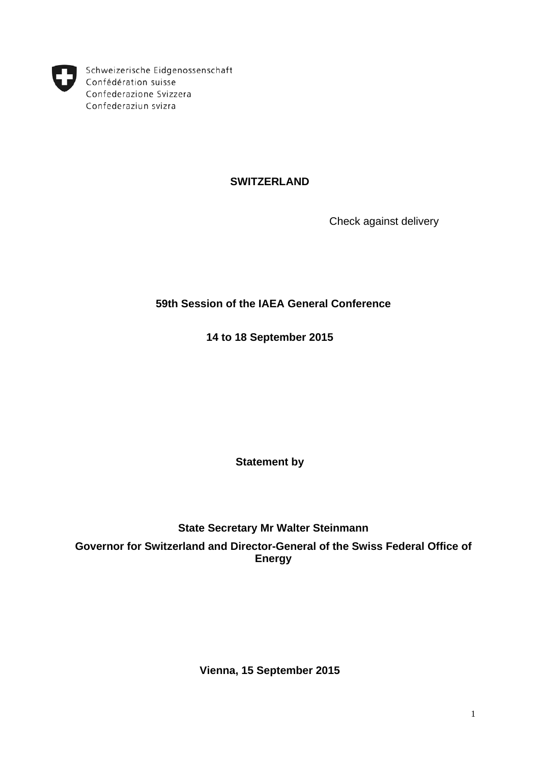

Schweizerische Eidgenossenschaft Confédération suisse Confederazione Svizzera Confederaziun svizra

# **SWITZERLAND**

Check against delivery

# **59th Session of the IAEA General Conference**

**14 to 18 September 2015**

**Statement by**

**State Secretary Mr Walter Steinmann Governor for Switzerland and Director-General of the Swiss Federal Office of Energy**

**Vienna, 15 September 2015**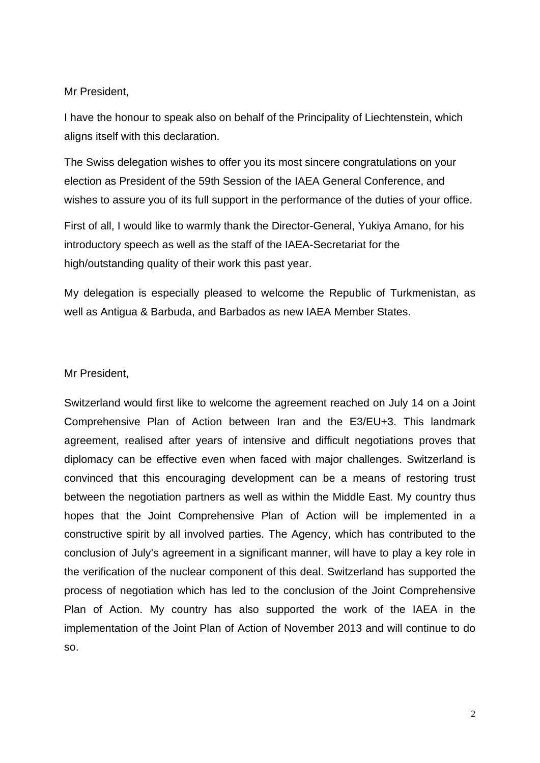Mr President,

I have the honour to speak also on behalf of the Principality of Liechtenstein, which aligns itself with this declaration.

The Swiss delegation wishes to offer you its most sincere congratulations on your election as President of the 59th Session of the IAEA General Conference, and wishes to assure you of its full support in the performance of the duties of your office.

First of all, I would like to warmly thank the Director-General, Yukiya Amano, for his introductory speech as well as the staff of the IAEA-Secretariat for the high/outstanding quality of their work this past year.

My delegation is especially pleased to welcome the Republic of Turkmenistan, as well as Antigua & Barbuda, and Barbados as new IAEA Member States.

Mr President,

Switzerland would first like to welcome the agreement reached on July 14 on a Joint Comprehensive Plan of Action between Iran and the E3/EU+3. This landmark agreement, realised after years of intensive and difficult negotiations proves that diplomacy can be effective even when faced with major challenges. Switzerland is convinced that this encouraging development can be a means of restoring trust between the negotiation partners as well as within the Middle East. My country thus hopes that the Joint Comprehensive Plan of Action will be implemented in a constructive spirit by all involved parties. The Agency, which has contributed to the conclusion of July's agreement in a significant manner, will have to play a key role in the verification of the nuclear component of this deal. Switzerland has supported the process of negotiation which has led to the conclusion of the Joint Comprehensive Plan of Action. My country has also supported the work of the IAEA in the implementation of the Joint Plan of Action of November 2013 and will continue to do so.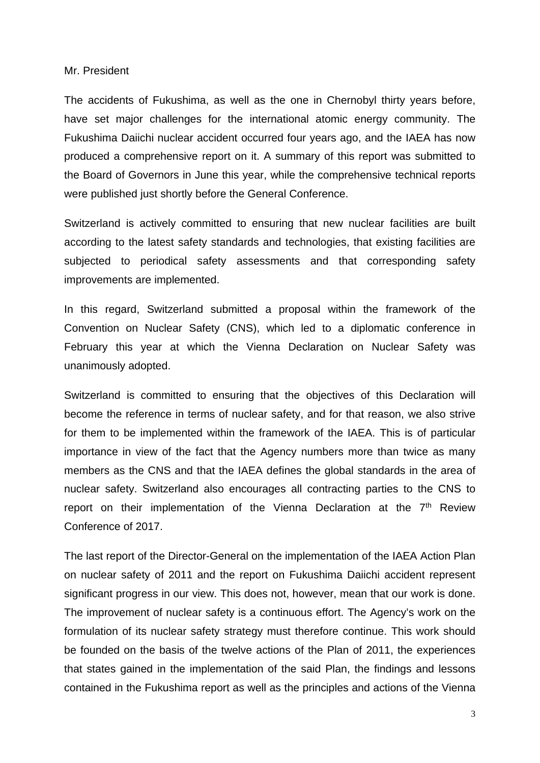### Mr. President

The accidents of Fukushima, as well as the one in Chernobyl thirty years before, have set major challenges for the international atomic energy community. The Fukushima Daiichi nuclear accident occurred four years ago, and the IAEA has now produced a comprehensive report on it. A summary of this report was submitted to the Board of Governors in June this year, while the comprehensive technical reports were published just shortly before the General Conference.

Switzerland is actively committed to ensuring that new nuclear facilities are built according to the latest safety standards and technologies, that existing facilities are subjected to periodical safety assessments and that corresponding safety improvements are implemented.

In this regard, Switzerland submitted a proposal within the framework of the Convention on Nuclear Safety (CNS), which led to a diplomatic conference in February this year at which the Vienna Declaration on Nuclear Safety was unanimously adopted.

Switzerland is committed to ensuring that the objectives of this Declaration will become the reference in terms of nuclear safety, and for that reason, we also strive for them to be implemented within the framework of the IAEA. This is of particular importance in view of the fact that the Agency numbers more than twice as many members as the CNS and that the IAEA defines the global standards in the area of nuclear safety. Switzerland also encourages all contracting parties to the CNS to report on their implementation of the Vienna Declaration at the  $7<sup>th</sup>$  Review Conference of 2017.

The last report of the Director-General on the implementation of the IAEA Action Plan on nuclear safety of 2011 and the report on Fukushima Daiichi accident represent significant progress in our view. This does not, however, mean that our work is done. The improvement of nuclear safety is a continuous effort. The Agency's work on the formulation of its nuclear safety strategy must therefore continue. This work should be founded on the basis of the twelve actions of the Plan of 2011, the experiences that states gained in the implementation of the said Plan, the findings and lessons contained in the Fukushima report as well as the principles and actions of the Vienna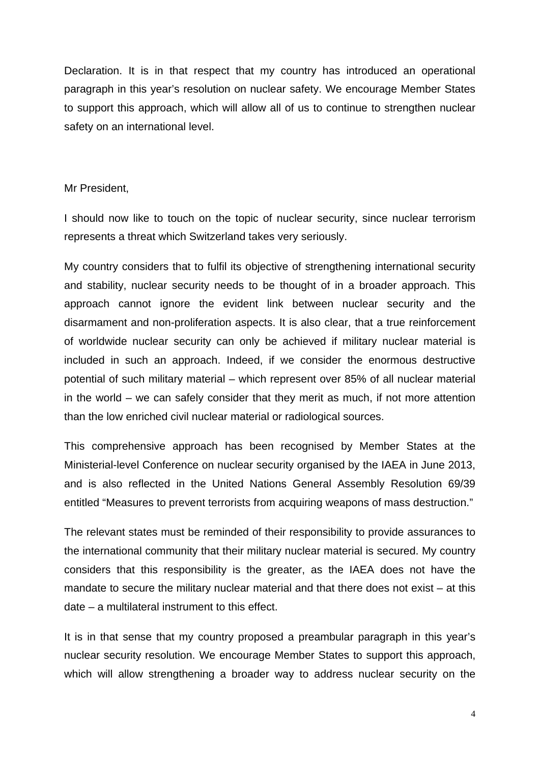Declaration. It is in that respect that my country has introduced an operational paragraph in this year's resolution on nuclear safety. We encourage Member States to support this approach, which will allow all of us to continue to strengthen nuclear safety on an international level.

### Mr President,

I should now like to touch on the topic of nuclear security, since nuclear terrorism represents a threat which Switzerland takes very seriously.

My country considers that to fulfil its objective of strengthening international security and stability, nuclear security needs to be thought of in a broader approach. This approach cannot ignore the evident link between nuclear security and the disarmament and non-proliferation aspects. It is also clear, that a true reinforcement of worldwide nuclear security can only be achieved if military nuclear material is included in such an approach. Indeed, if we consider the enormous destructive potential of such military material – which represent over 85% of all nuclear material in the world – we can safely consider that they merit as much, if not more attention than the low enriched civil nuclear material or radiological sources.

This comprehensive approach has been recognised by Member States at the Ministerial-level Conference on nuclear security organised by the IAEA in June 2013, and is also reflected in the United Nations General Assembly Resolution 69/39 entitled "Measures to prevent terrorists from acquiring weapons of mass destruction."

The relevant states must be reminded of their responsibility to provide assurances to the international community that their military nuclear material is secured. My country considers that this responsibility is the greater, as the IAEA does not have the mandate to secure the military nuclear material and that there does not exist – at this date – a multilateral instrument to this effect.

It is in that sense that my country proposed a preambular paragraph in this year's nuclear security resolution. We encourage Member States to support this approach, which will allow strengthening a broader way to address nuclear security on the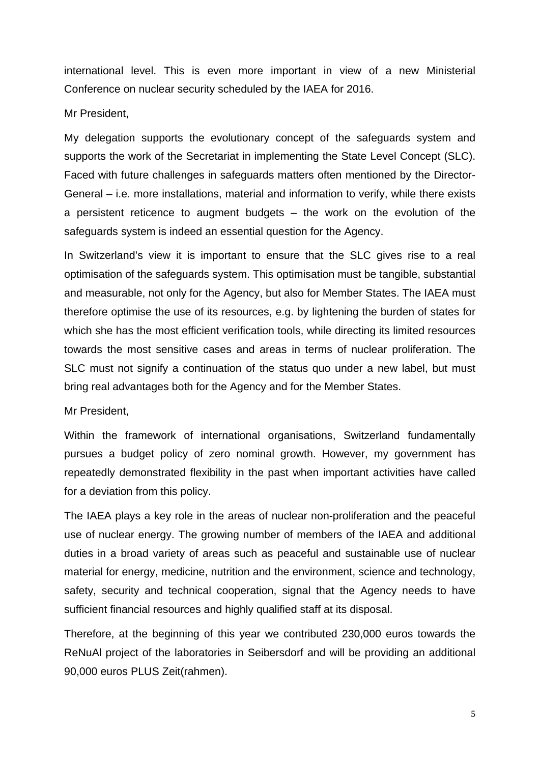international level. This is even more important in view of a new Ministerial Conference on nuclear security scheduled by the IAEA for 2016.

Mr President,

My delegation supports the evolutionary concept of the safeguards system and supports the work of the Secretariat in implementing the State Level Concept (SLC). Faced with future challenges in safeguards matters often mentioned by the Director-General – i.e. more installations, material and information to verify, while there exists a persistent reticence to augment budgets – the work on the evolution of the safeguards system is indeed an essential question for the Agency.

In Switzerland's view it is important to ensure that the SLC gives rise to a real optimisation of the safeguards system. This optimisation must be tangible, substantial and measurable, not only for the Agency, but also for Member States. The IAEA must therefore optimise the use of its resources, e.g. by lightening the burden of states for which she has the most efficient verification tools, while directing its limited resources towards the most sensitive cases and areas in terms of nuclear proliferation. The SLC must not signify a continuation of the status quo under a new label, but must bring real advantages both for the Agency and for the Member States.

Mr President,

Within the framework of international organisations, Switzerland fundamentally pursues a budget policy of zero nominal growth. However, my government has repeatedly demonstrated flexibility in the past when important activities have called for a deviation from this policy.

The IAEA plays a key role in the areas of nuclear non-proliferation and the peaceful use of nuclear energy. The growing number of members of the IAEA and additional duties in a broad variety of areas such as peaceful and sustainable use of nuclear material for energy, medicine, nutrition and the environment, science and technology, safety, security and technical cooperation, signal that the Agency needs to have sufficient financial resources and highly qualified staff at its disposal.

Therefore, at the beginning of this year we contributed 230,000 euros towards the ReNuAl project of the laboratories in Seibersdorf and will be providing an additional 90,000 euros PLUS Zeit(rahmen).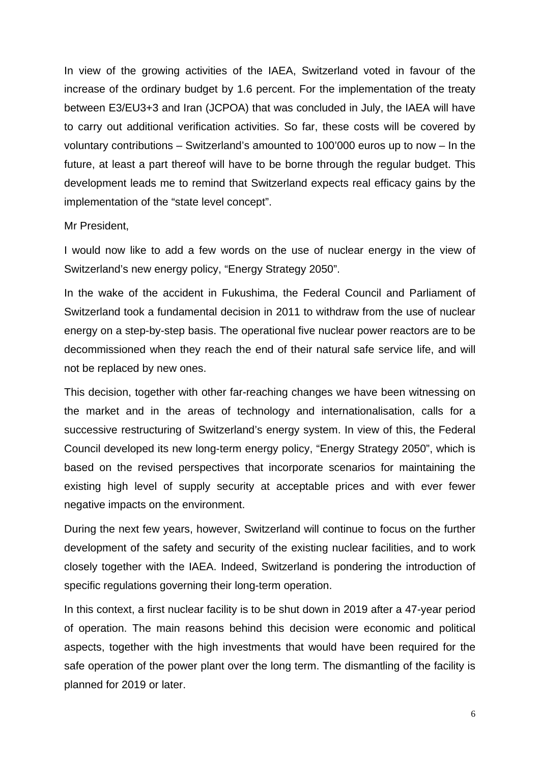In view of the growing activities of the IAEA, Switzerland voted in favour of the increase of the ordinary budget by 1.6 percent. For the implementation of the treaty between E3/EU3+3 and Iran (JCPOA) that was concluded in July, the IAEA will have to carry out additional verification activities. So far, these costs will be covered by voluntary contributions – Switzerland's amounted to 100'000 euros up to now – In the future, at least a part thereof will have to be borne through the regular budget. This development leads me to remind that Switzerland expects real efficacy gains by the implementation of the "state level concept".

### Mr President,

I would now like to add a few words on the use of nuclear energy in the view of Switzerland's new energy policy, "Energy Strategy 2050".

In the wake of the accident in Fukushima, the Federal Council and Parliament of Switzerland took a fundamental decision in 2011 to withdraw from the use of nuclear energy on a step-by-step basis. The operational five nuclear power reactors are to be decommissioned when they reach the end of their natural safe service life, and will not be replaced by new ones.

This decision, together with other far-reaching changes we have been witnessing on the market and in the areas of technology and internationalisation, calls for a successive restructuring of Switzerland's energy system. In view of this, the Federal Council developed its new long-term energy policy, "Energy Strategy 2050", which is based on the revised perspectives that incorporate scenarios for maintaining the existing high level of supply security at acceptable prices and with ever fewer negative impacts on the environment.

During the next few years, however, Switzerland will continue to focus on the further development of the safety and security of the existing nuclear facilities, and to work closely together with the IAEA. Indeed, Switzerland is pondering the introduction of specific regulations governing their long-term operation.

In this context, a first nuclear facility is to be shut down in 2019 after a 47-year period of operation. The main reasons behind this decision were economic and political aspects, together with the high investments that would have been required for the safe operation of the power plant over the long term. The dismantling of the facility is planned for 2019 or later.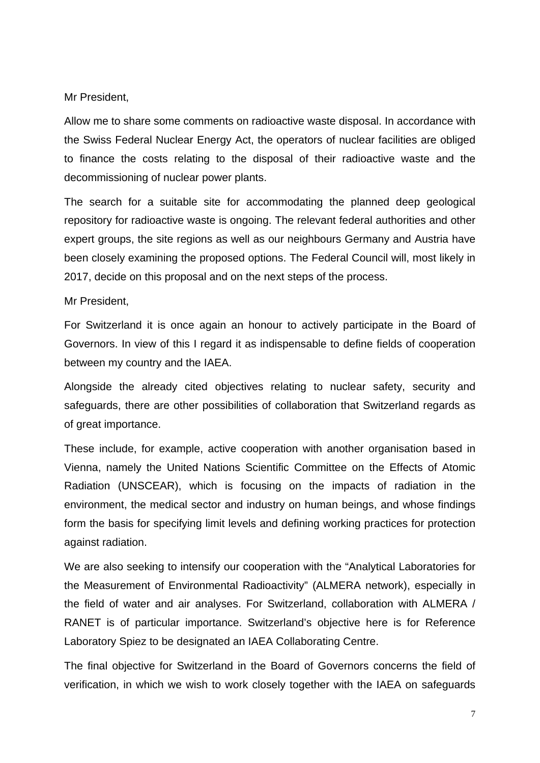Mr President,

Allow me to share some comments on radioactive waste disposal. In accordance with the Swiss Federal Nuclear Energy Act, the operators of nuclear facilities are obliged to finance the costs relating to the disposal of their radioactive waste and the decommissioning of nuclear power plants.

The search for a suitable site for accommodating the planned deep geological repository for radioactive waste is ongoing. The relevant federal authorities and other expert groups, the site regions as well as our neighbours Germany and Austria have been closely examining the proposed options. The Federal Council will, most likely in 2017, decide on this proposal and on the next steps of the process.

Mr President,

For Switzerland it is once again an honour to actively participate in the Board of Governors. In view of this I regard it as indispensable to define fields of cooperation between my country and the IAEA.

Alongside the already cited objectives relating to nuclear safety, security and safeguards, there are other possibilities of collaboration that Switzerland regards as of great importance.

These include, for example, active cooperation with another organisation based in Vienna, namely the United Nations Scientific Committee on the Effects of Atomic Radiation (UNSCEAR), which is focusing on the impacts of radiation in the environment, the medical sector and industry on human beings, and whose findings form the basis for specifying limit levels and defining working practices for protection against radiation.

We are also seeking to intensify our cooperation with the "Analytical Laboratories for the Measurement of Environmental Radioactivity" (ALMERA network), especially in the field of water and air analyses. For Switzerland, collaboration with ALMERA / RANET is of particular importance. Switzerland's objective here is for Reference Laboratory Spiez to be designated an IAEA Collaborating Centre.

The final objective for Switzerland in the Board of Governors concerns the field of verification, in which we wish to work closely together with the IAEA on safeguards